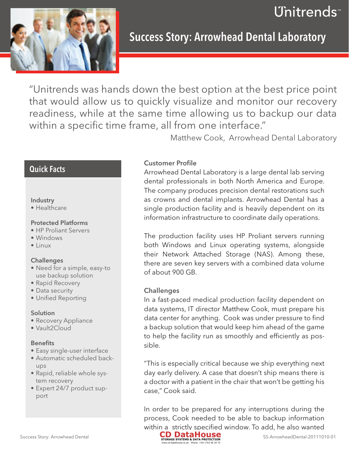



**Success Story: Arrowhead Dental Laboratory** 

"Unitrends was hands down the best option at the best price point that would allow us to quickly visualize and monitor our recovery readiness, while at the same time allowing us to backup our data within a specific time frame, all from one interface."

Matthew Cook, Arrowhead Dental Laboratory

# Quick Facts

# Industry

• Healthcare

# Protected Platforms

- • HP Proliant Servers
- • Windows
- • Linux

#### **Challenges**

- Need for a simple, easy-to use backup solution
- Rapid Recovery
- Data security
- Unified Reporting

#### Solution

- Recovery Appliance
- • Vault2Cloud

#### **Benefits**

- Easy single-user interface
- Automatic scheduled backups
- Rapid, reliable whole system recovery
- Expert 24/7 product support

# Customer Profile

Arrowhead Dental Laboratory is a large dental lab serving dental professionals in both North America and Europe. The company produces precision dental restorations such as crowns and dental implants. Arrowhead Dental has a single production facility and is heavily dependent on its information infrastructure to coordinate daily operations.

The production facility uses HP Proliant servers running both Windows and Linux operating systems, alongside their Network Attached Storage (NAS). Among these, there are seven key servers with a combined data volume of about 900 GB.

# **Challenges**

In a fast-paced medical production facility dependent on data systems, IT director Matthew Cook, must prepare his data center for anything. Cook was under pressure to find a backup solution that would keep him ahead of the game to help the facility run as smoothly and efficiently as possible.

"This is especially critical because we ship everything next day early delivery. A case that doesn't ship means there is a doctor with a patient in the chair that won't be getting his case," Cook said.

In order to be prepared for any interruptions during the process, Cook needed to be able to backup information within a strictly specified window. To add, he also wanted